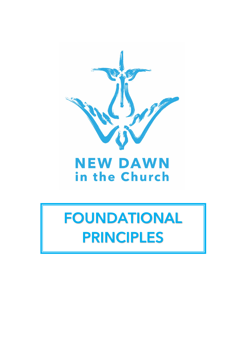

# **NEW DAWN** in the Church

# FOUNDATIONAL PRINCIPLES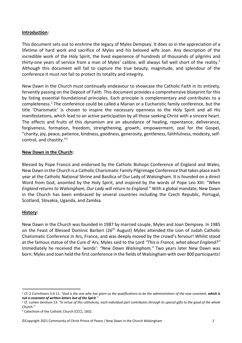#### **Introduction:**

This document sets out to enshrine the legacy of Myles Dempsey. It does so in the appreciation of a lifetime of hard work and sacrifice of Myles and his beloved wife Joan. Any description of the incredible work of the Holy Spirit, the lived experience of hundreds of thousands of pilgrims and thirty-one years of service from a man of Myles' calibre, will always fall well short of the reality.<sup>1</sup> Although this document will fail to capture the true beauty, magnitude, and splendour of the conference it must not fail to protect its totality and integrity.

New Dawn in the Church must continually endeavour to showcase the Catholic Faith in its entirety, fervently passing on the Deposit of Faith. This document provides a comprehensive blueprint for this by listing essential foundational principles. Each principle is complementary and contributes to a completeness.2 The conference could be called a Marian or a Eucharistic family conference, but the title 'Charismatic' is chosen to inspire the necessary openness to the Holy Spirit and all His manifestations, which lead to an active participation by all those seeking Christ with a sincere heart. The effects and fruits of this dynamism are an abundance of healing, repentance, deliverance, forgiveness, formation, freedom, strengthening, growth, empowerment, zeal for the Gospel, "charity, joy, peace, patience, kindness, goodness, generosity, gentleness, faithfulness, modesty, selfcontrol, and chastity."3

#### **New Dawn in the Church:**

Blessed by Pope Francis and endorsed by the Catholic Bishops Conference of England and Wales, New Dawn in the Church is a Catholic Charismatic Family Pilgrimage Conference that takes place each year at the Catholic National Shrine and Basilica of Our Lady of Walsingham. It is founded on a direct Word from God, anointed by the Holy Spirit, and inspired by the words of Pope Leo XIII: *"When England returns to Walsingham, Our Lady will return to England."* With a global mandate, New Dawn in the Church has been embraced by several countries including the Czech Republic, Portugal, Scotland, Slovakia, Uganda, and Zambia.

#### **History:**

New Dawn in the Church was founded in 1987 by married couple, Myles and Joan Dempsey. In 1985 on the Feast of Blessed Dominic Barberi (26<sup>th</sup> August) Myles attended the Lion of Judah Catholic Charismatic Conference in Ars, France, and was deeply moved by the crowd's fervour! Whilst stood at the famous statue of the Cure d' Ars, Myles said to the Lord *"This is France, what about England?"* Immediately he received the 'words': *"New Dawn Walsingham."* Two years later New Dawn was born: Myles and Joan held the first conference in the fields of Walsingham with over 800 participants!

<sup>1</sup> Cf. 2 Corinthians 3:4-11: *"God is the one who has given us the qualifications to be the administrators of the new covenant, which is not a covenant of written letters but of the Spirit."*

<sup>2</sup> Cf. *Lumen Gentium* 13: *"In virtue of this catholicity, each individual part contributes through its special gifts to the good of the whole Church.''*

<sup>&</sup>lt;sup>3</sup> Catechism of the Catholic Church (CCC), 1832.

<sup>©</sup>Copyright 2021 Community of Christ Prince of Peace / New Dawn in the Church Walsingham 2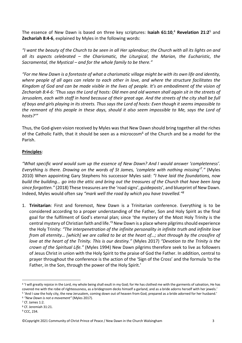The essence of New Dawn is based on three key scriptures: **Isaiah 61:10**, <sup>4</sup> **Revelation 21:2**<sup>5</sup> and **Zechariah 8:4-6**, explained by Myles in the following words:

*"I want the beauty of the Church to be seen in all Her splendour; the Church with all its lights on and all its aspects celebrated – the Charismatic, the Liturgical, the Marian, the Eucharistic, the Sacramental, the Mystical – and for the whole family to be there."*

*"For me New Dawn is a foretaste of what a charismatic village might be with its own life and identity, where people of all ages can relate to each other in love, and where the structure facilitates the Kingdom of God and can be made visible in the lives of people. It's an embodiment of the vision of Zechariah 8:4-6: 'Thus says the Lord of hosts: Old men and old women shall again sit in the streets of Jerusalem, each with staff in hand because of their great age. And the streets of the city shall be full of boys and girls playing in its streets. Thus says the Lord of hosts: Even though it seems impossible to the remnant of this people in these days, should it also seem impossible to Me, says the Lord of hosts?'"*

Thus, the God-given vision received by Myles was that New Dawn should bring together all the riches of the Catholic Faith, that it should be seen as a microcosm<sup>6</sup> of the Church and be a model for the Parish.

## **Principles**:

*"What specific word would sum up the essence of New Dawn? And I would answer 'completeness'. Everything is there. Drawing on the words of St James, 'complete with nothing missing'7 ."* (Myles 2010) When appointing Gary Stephens his successor Myles said: *"I have laid the foundations, now build the building… go into the attic and bring out the treasures of the Church that have been long since forgotten."* (2018) These treasures are the 'road signs', guideposts', and blueprint of New Dawn. Indeed, Myles would often say *"mark well the road by which you have travelled."8*

1. **Trinitarian**: First and foremost, New Dawn is a Trinitarian conference. Everything is to be considered according to a proper understanding of the Father, Son and Holy Spirit as the final goal for the fulfilment of God's eternal plan; since 'the mystery of the Most Holy Trinity is the central mystery of Christian faith and life.'9 New Dawn is a place where pilgrims should experience the Holy Trinity: *"The interpenetration of the infinite personality in infinite truth and infinite love from all eternity… [which] we are called to be at the heart of…; shot through by the crossfire of love at the heart of the Trinity. This is our destiny."* (Myles 2017) *"Devotion to the Trinity is the crown of the Spiritual Life."* (Myles 1994) New Dawn pilgrims therefore seek to live as followers of Jesus Christ in union with the Holy Spirit to the praise of God the Father. In addition, central to prayer throughout the conference is the action of the 'Sign of the Cross' and the formula 'to the Father, in the Son, through the power of the Holy Spirit.'

<sup>&</sup>lt;sup>4</sup> 'I will greatly rejoice in the Lord, my whole being shall exult in my God; for He has clothed me with the garments of salvation, He has covered me with the robe of righteousness, as a bridegroom decks himself a garland, and as a bride adorns herself with her jewels.'

<sup>5</sup> 'And I saw the holy city, the new Jerusalem, coming down out of heaven from God, prepared as a bride adorned for her husband.'

<sup>6</sup> *"New Dawn is not a movement"* (Myles 2017).

<sup>7</sup> Cf. James 1:2.

<sup>8</sup> Cf. Jeremiah 31:21. 9 CCC, 234.

<sup>©</sup>Copyright 2021 Community of Christ Prince of Peace / New Dawn in the Church Walsingham 3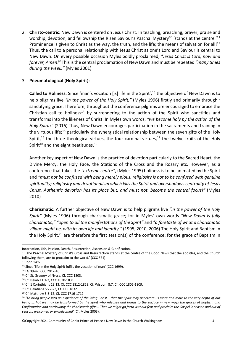2. **Christo-centric**: New Dawn is centered on Jesus Christ. In teaching, preaching, prayer, praise and worship, devotion, and fellowship the Risen Saviour's Paschal Mystery<sup>10</sup> 'stands at the centre.'<sup>11</sup> Prominence is given to Christ as the way, the truth, and the life; the means of salvation for all!<sup>12</sup> Thus, the call to a personal relationship with Jesus Christ as one's Lord and Saviour is central to New Dawn. On every possible occasion Myles boldly proclaimed, *"Jesus Christ is Lord, now and forever, Amen!"* This is the central proclamation of New Dawn and must be repeated *"many times during the week."* (Myles 2001)

### 3. **Pneumatological (Holy Spirit)**:

Called to Holiness: Since 'man's vocation [is] life in the Spirit',<sup>13</sup> the objective of New Dawn is to help pilgrims live "in the power of the Holy Spirit," (Myles 1996) firstly and primarily through 1 sanctifying grace. Therefore, throughout the conference pilgrims are encouraged to embrace the Christian call to holiness<sup>14</sup> by surrendering to the action of the Spirit who sanctifies and transforms into the likeness of Christ. In Myles own words, *"we become holy by the action of the Holy Spirit!"* (2016) Thus, New Dawn encourages participation in the sacraments and training in the virtuous life;<sup>15</sup> particularly the synergistical relationship between the seven gifts of the Holy Spirit,<sup>16</sup> the three theological virtues, the four cardinal virtues,<sup>17</sup> the twelve fruits of the Holy Spirit<sup>18</sup> and the eight beatitudes.<sup>19</sup>

Another key aspect of New Dawn is the practice of devotion particularly to the Sacred Heart, the Divine Mercy, the Holy Face, the Stations of the Cross and the Rosary etc. However, as a conference that takes the *"extreme centre"*, (Myles 1995) holiness is to be animated by the Spirit and *"must not be confused with being merely pious, religiosity is not to be confused with genuine spirituality; religiosity and devotionalism which kills the Spirit and overshadows centrality of Jesus Christ. Authentic devotion has its place but, and must not, become the central focus!"* (Myles 2010)

**Charismatic:** A further objective of New Dawn is to help pilgrims live *"in the power of the Holy Spirit"* (Myles 1996) through charismatic grace; for in Myles' own words *"New Dawn is fully charismatic," "open to all the manifestations of the Spirit"* and *"a foretaste of what a charismatic village might be, with its own life and identity."* (1995, 2010, 2006) The Holy Spirit and Baptism in the Holy Spirit,<sup>20</sup> are therefore the first session(s) of the conference; for the grace of Baptism in

©Copyright 2021 Community of Christ Prince of Peace / New Dawn in the Church Walsingham 4

Incarnation, Life, Passion, Death, Resurrection, Ascension & Glorification.

<sup>&</sup>lt;sup>11</sup> 'The Paschal Mystery of Christ's Cross and Resurrection stands at the centre of the Good News that the apostles, and the Church following them, are to proclaim to the world.' (CCC 571)

<sup>12</sup> John 14:6.

<sup>&</sup>lt;sup>13</sup> Since 'life in the Holy Spirit fulfils the vocation of man' (CCC 1699).

<sup>&</sup>lt;sup>14</sup> LG 39-42, CCC 2012-16.<br><sup>15</sup> Cf. St. Gregory of Nyssa. Cf. CCC 1803.

<sup>16</sup> Cf. Isaiah 11:1-2, CCC 1830-1831.

<sup>17</sup> Cf. 1 Corinthians 13:13, Cf. CCC 1812-1829; Cf. Wisdom 8:7, Cf. CCC 1805-1809.

<sup>18</sup> Cf. Galatians 5:22-23, Cf. CCC 1832.

<sup>19</sup> Cf. Matthew 5:3-12, Cf. CCC 1716-1717.

<sup>&</sup>lt;sup>20</sup> 'To bring people into an experience of the living Christ... that the Spirit may penetrate us more and more to the very depth of our *being …That we may be transformed by the Spirit who releases and brings to the surface in new ways the graces of Baptism and Confirmation and particularly the charismatic gifts... That we might go forth without fear and proclaim the Gospel in season and out of season, welcomed or unwelcomed'* (Cf. Myles 2003).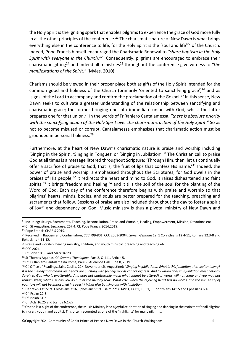the Holy Spirit is the igniting spark that enables pilgrims to experience the grace of God more fully in all the other principles of the conference.<sup>21</sup> The charismatic nature of New Dawn is what brings everything else in the conference to life, for the Holy Spirit is the 'soul and life<sup>'22</sup> of the Church. Indeed, Pope Francis himself encouraged the Charismatic Renewal to *"share baptism in the Holy Spirit with everyone in the Church."*<sup>23</sup> Consequently, pilgrims are encouraged to embrace their charismatic gifting<sup>24</sup> and indeed all ministries<sup>25</sup> throughout the conference give witness to "the *manifestations of the Spirit."* (Myles, 2010)

Charisms should be viewed in their proper place both as gifts of the Holy Spirit intended for the common good and holiness of the Church (primarily 'oriented to sanctifying grace')<sup>26</sup> and as 'signs' of the Lord to accompany and confirm the proclamation of the Gospel.<sup>27</sup> In this sense. New Dawn seeks to cultivate a greater understanding of the relationship between sanctifying and charismatic grace; the former bringing one into immediate union with God, whilst the latter prepares one for that union.28 In the words of Fr Raniero Cantalamessa, *"there is absolute priority with the sanctifying action of the Holy Spirit over the charismatic action of the Holy Spirit."* So as not to become misused or corrupt, Cantalamessa emphasises that charismatic action must be grounded in personal holiness. 29

Furthermore, at the heart of New Dawn's charismatic nature is praise and worship including 'Singing in the Spirit', 'Singing in Tongues' or 'Singing in Jubilation'.30 The Christian call to praise God at all times is a message littered throughout Scripture: 'Through Him, then, let us continually offer a sacrifice of praise to God, that is, the fruit of lips that confess His name.<sup>'31</sup> Indeed. the power of praise and worship is emphasised throughout the Scriptures; for God dwells in the praises of His people,<sup>32</sup> it redirects the heart and mind to God, it raises disheartened and faint spirits,<sup>33</sup> it brings freedom and healing,<sup>34</sup> and it tills the soil of the soul for the planting of the Word of God. Each day of the conference therefore begins with praise and worship so that pilgrims' hearts, minds, bodies, and souls are better prepared for the teaching, preaching and sacraments that follow. Sessions of praise are also included throughout the day to foster a spirit of joy<sup>35</sup> and dependency on God. Music ministry is thus a pivotal ministry of New Dawn and

<sup>&</sup>lt;sup>21</sup> Including: Liturgy, Sacraments, Teaching, Reconciliation, Praise and Worship, Healing, Empowerment, Mission, Devotions etc.

<sup>22</sup> Cf. St Augustine. *Sermones*. 267.4; Cf. Pope Francis 2014,2019.

<sup>23</sup> Pope Francis CHARIS 2019.

<sup>24</sup> Received in Baptism and Confirmation; CCC 799-801, CCC 2003-2004; *Lumen Gentium* 12; 1 Corinthians 12:4-11, Romans 12:3-8 and Ephesians 4:11-12.

<sup>&</sup>lt;sup>25</sup> Praise and worship, healing ministry, children, and youth ministry, preaching and teaching etc.

<sup>26</sup> CCC 2024.

<sup>27</sup> Cf. John 10:38 and Mark 16:20.

<sup>28</sup> St Thomas Aquinas, Cf. *Summa Theologiae*, Part 2, Q.111, Article 5.

<sup>29</sup> Cf. Fr Raniero Cantalamessa Rome, Paul VI Audience Hall, June 8, 2019.

<sup>30</sup> Cf. Office of Readings, Saint Cecilia, 22nd November (St. Augustine): "*Singing in jubilation… What is this jubilation, this exultant song? It is the melody that means our hearts are bursting with feelings words cannot express. And to whom does this jubilation most belong? Surely to God who is unutterable. And does not unutterable mean what cannot be uttered? If words will not come and you may not remain silent, what else can you do but let the melody soar? What else, when the rejoicing heart has no words, and the immensity of*  your joys will not be imprisoned in speech? What else but sing out with jubilation.'<br><sup>31</sup> Hebrews 13:15; cf. Colossians 3:16, Ephesians 5:19, Psalm 22:3, 149:3, 147:1, 135:1, 1 Corinthians 14:15 and Ephesians 6:18.<br><sup>32</sup> Cf

<sup>33</sup> Cf. Isaiah 61:3.

<sup>&</sup>lt;sup>34</sup> Cf. Acts 16:25 and Joshua 6:1-27.<br><sup>35</sup> On the last night of the conference, the Music Ministry lead a joyful celebration of singing and dancing in the main tent for all pilgrims (children, youth, and adults). This often recounted as one of the 'highlights' for many pilgrims.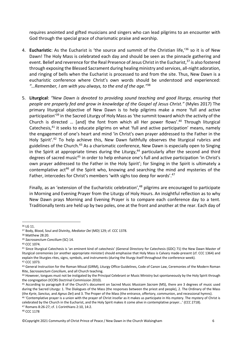requires anointed and gifted musicians and singers who can lead pilgrims to an encounter with God through the special grace of charismatic praise and worship.

- 4. **Eucharistic**: As the Eucharist is 'the source and summit of the Christian life,'36 so it is of New Dawn! The Holy Mass is celebrated each day and should be seen as the pinnacle gathering and event. Belief and reverence for the Real Presence of Jesus Christ in the Eucharist.<sup>37</sup> is also fostered through exposing the Blessed Sacrament during healing ministry and services, all-night adoration, and ringing of bells when the Eucharist is processed to and from the site. Thus, New Dawn is a eucharistic conference where Christ's own words should be understood and experienced: *"…Remember, I am with you always, to the end of the age."*<sup>38</sup>
- 5. **Liturgical**: *"New Dawn is devoted to providing sound teaching and good liturgy, ensuring that people are properly fed and grow in knowledge of the Gospel of Jesus Christ."* (Myles 2017) The primary liturgical objective of New Dawn is to help pilgrims make a more 'full and active participation'39 in the Sacred Liturgy of Holy Mass as 'the summit toward which the activity of the Church is directed … [and] the font from which all Her power flows'. <sup>40</sup> Through liturgical Catechesis,<sup>41</sup> it seeks to educate pilgrims on what 'full and active participation' means, namely the engagement of one's heart and mind 'in Christ's own prayer addressed to the Father in the Holy Spirit'.<sup>42</sup> To help achieve this, New Dawn faithfully observes the liturgical rubrics and guidelines of the Church.<sup>43</sup> As a charismatic conference, New Dawn is especially open to Singing in the Spirit at appropriate times during the Liturgy,<sup>44</sup> particularly after the second and third degrees of sacred music<sup>45</sup> in order to help enhance one's full and active participation 'in Christ's own prayer addressed to the Father in the Holy Spirit'; for Singing in the Spirit is ultimately a contemplative act<sup>46</sup> of the Spirit who, knowing and searching the mind and mysteries of the Father, intercedes for Christ's members 'with sighs too deep for words'.<sup>47</sup>

Finally, as an 'extension of the Eucharistic celebration',48 pilgrims are encouraged to participate in Morning and Evening Prayer from the Liturgy of Holy Hours. An insightful reflection as to why New Dawn prays Morning and Evening Prayer is to compare each conference day to a tent. Traditionally tents are held up by two poles, one at the front and another at the rear. Each day of

<sup>40</sup> CCC 1074.

<sup>36</sup> LG 11.

<sup>37</sup> Body, Blood, Soul and Divinity, *Mediator Dei* (MD) 129; cf. CCC 1378. 38 Matthew 28:20.

<sup>39</sup> *Sacrosanctum Concilium* (SC) 14.

<sup>41</sup> Since liturgical Catechesis is 'an eminent kind of catechesis' (General Directory for Catechesis (GDC) 71) the New Dawn Master of liturgical ceremonies (or another appropriate minister) should emphasise that Holy Mass is Calvary made-present (cf. CCC 1364) and explain the liturgies rites, signs, symbols, and instruments (during the liturgy itself throughout the conference week).

<sup>42</sup> CCC 1073.<br>43 General Instruction for the Roman Missal (GIRM), Liturgy Office Guidelines, Code of Canon Law, Ceremonies of the Modern Roman Rite, *Sacrosanctum Concilium*, and all Church teaching.<br><sup>44</sup> However, tongues must not be instigated by the Principal Celebrant or Music Ministry but spontaneously by the Holy Spirit through

the congregation (ICCRS Doctrinal Commission 2010).

<sup>45</sup> According to paragraph 8 of the Church's document on Sacred Music *Musicam Sacram* (MS), there are 3 degrees of music used during the Sacred Liturgy: 1. The Dialogues of the Mass (the responses between the priest and people), 2. The Ordinary of the Mass (the Kyrie, Sanctus, and Agnus Dei) and 3. The Proper of the Mass (the entrance, offertory, communion, and recessional hymns).<br><sup>46</sup> 'Contemplative prayer is a union with the prayer of Christ insofar as it makes us particip

celebrated by the Church in the Eucharist, and the Holy Spirit makes it come alive in contemplative prayer...' (CCC 2718).

<sup>47</sup> Romans 8:26-27; cf. 1 Corinthians 2:10, 14:2.

<sup>48</sup> CCC 1178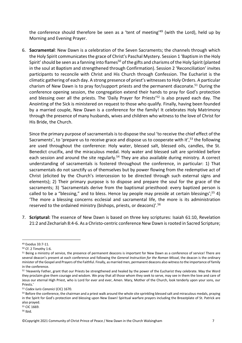the conference should therefore be seen as a 'tent of meeting'<sup>49</sup> (with the Lord), held up by Morning and Evening Prayer.

6. **Sacramental**: New Dawn is a celebration of the Seven Sacraments; the channels through which the Holy Spirit communicates the grace of Christ's Paschal Mystery. Session 1 'Baptism in the Holy Spirit' should be seen as a fanning into flames<sup>50</sup> of the gifts and charisms of the Holy Spirit (planted in the soul at Baptism and strengthened through Confirmation). Session 2 'Reconciliation' invites participants to reconcile with Christ and His Church through Confession. The Eucharist is the climatic gathering of each day. A strong presence of priest's witnesses to Holy Orders. A particular charism of New Dawn is to pray for/support priests and the permanent diaconate.<sup>51</sup> During the conference opening session, the congregation extend their hands to pray for God's protection and blessing over all the priests. The 'Daily Prayer for Priests'<sup>52</sup> is also prayed each day. The Anointing of the Sick is ministered on request to those who qualify. Finally, having been founded by a married couple, New Dawn is a conference for the family! It celebrates Holy Matrimony through the presence of many husbands, wives and children who witness to the love of Christ for His Bride, the Church.

Since the primary purpose of sacramentals is to dispose the soul 'to receive the chief effect of the Sacraments', to 'prepare us to receive grace and dispose us to cooperate with it',<sup>53</sup> the following are used throughout the conference: Holy water, blessed salt, blessed oils, candles, the St. Benedict crucifix, and the miraculous medal. Holy water and blessed salt are sprinkled before each session and around the site regularly.<sup>54</sup> They are also available during ministry. A correct understanding of sacramentals is fostered throughout the conference, in particular: 1) That sacramentals do not sanctify us of themselves but by power flowing from the redemptive act of Christ (elicited by the Church's intercession to be directed through such external signs and elements); 2) Their primary purpose is to dispose and prepare the soul for the grace of the sacraments; 3) 'Sacramentals derive from the baptismal priesthood: every baptized person is called to be a "blessing," and to bless. Hence lay people may preside at certain blessings';<sup>55</sup> 4) 'The more a blessing concerns ecclesial and sacramental life, the more is its administration reserved to the ordained ministry (bishops, priests, or deacons)'.56

7. **Scriptural:** The essence of New Dawn is based on three key scriptures: Isaiah 61:10, Revelation 21:2 and Zechariah 8:4-6. As a Christo-centric conference New Dawn is rooted in Sacred Scripture;

<sup>55</sup> CIC 1669.

<sup>56</sup> Ibid.

<sup>49</sup> Exodus 33:7-11.

<sup>50</sup> Cf. 2 Timothy 1:6.

<sup>51</sup> Being a ministry of service, the presence of permanent deacons is important for New Dawn as a conference of service! There are several deacon's present at each conference and following the *General Instruction for the Roman Missal*, the deacon is the ordinary minister of the Gospel and Prayers of the Faithful. Finally, as married men, permanent deacons also witness to the importance of family in the conference.

<sup>52</sup> 'Heavenly Father, grant that our Priests be strengthened and healed by the power of the Eucharist they celebrate. May the Word they proclaim give them courage and wisdom. We pray that all those whom they seek to serve, may see in them the love and care of Jesus our eternal High Priest, who is Lord for ever and ever, Amen. Mary, Mother of the Church, look tenderly upon your sons, our Priests.'

<sup>&</sup>lt;sup>53</sup> Codex Iuris Canonici (CIC) 1670.<br><sup>54</sup> Before the conference, the chairman and a priest walk around the whole site sprinkling blessed salt and miraculous medals, praying in the Spirit for God's protection and blessing upon New Dawn! Spiritual warfare prayers including the Breastplate of St. Patrick are also prayed.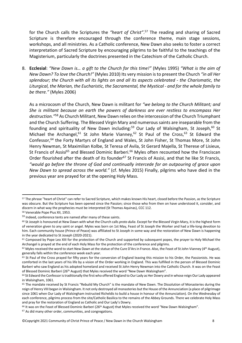for the Church calls the Scriptures the *"heart of Christ"*. <sup>57</sup> The reading and sharing of Sacred Scripture is therefore encouraged through the conference theme, main stage sessions, workshops, and all ministries. As a Catholic conference, New Dawn also seeks to foster a correct interpretation of Sacred Scripture by encouraging pilgrims to be faithful to the teachings of the Magisterium, particularly the doctrines presented in the Catechism of the Catholic Church.

8. **Ecclesial**: *"New Dawn is… a gift to the Church for this time!"* (Myles 1995) *"What is the aim of New Dawn? To love the Church!"* (Myles 2010) Its very mission is to present the Church *"in all Her splendour; the Church with all its lights on and all its aspects celebrated - the Charismatic, the Liturgical, the Marian, the Eucharistic, the Sacramental, the Mystical - and for the whole family to be there."* (Myles 2006)

As a microcosm of the Church, New Dawn is militant for *"we belong to the Church Militant; and She is militant because on earth the powers of darkness are ever restless to encompass Her destruction."*<sup>58</sup> As Church Militant, New Dawn relies on the intercession of the Church Triumphant and the Church Suffering. The Blessed Virgin Mary and numerous saints are inseparable from the founding and spirituality of New Dawn including:<sup>59</sup> Our Lady of Walsingham, St Joseph,<sup>60</sup> St Michael the Archangel,  $61$  St John Marie Vianney,  $62$  St Paul of the Cross,  $63$  St Edward the Confessor,<sup>64</sup> the Forty Martyrs of England and Wales, St John Fisher, St Thomas More, St John Henry Newman, St Maximilian Kolbe, St Teresa of Avila, St Gerard Majella, St Therese of Lisieux, St Francis of Assisi<sup>65</sup> and Blessed Dominic Barberi.<sup>66</sup> Myles often recounted how the Franciscan Order flourished after the death of its founder<sup>67</sup> St Francis of Assisi, and that he like St Francis, *"would go before the throne of God and continually intercede for an outpouring of grace upon New Dawn to spread across the world."* (cf. Myles 2015) Finally, pilgrims who have died in the previous year are prayed for at the opening Holy Mass.

<sup>57</sup> The phrase "heart of Christ" can refer to Sacred Scripture, which makes known His heart, closed before the Passion, as the Scripture was obscure. But the Scripture has been opened since the Passion; since those who from then on have understood it, consider, and discern in what way the prophecies must be interpreted (St Thomas Aquinas), CCC 112.

<sup>58</sup> Venerable Pope Pius XII, 1953.

<sup>&</sup>lt;sup>59</sup> Indeed, conference tents are named after many of these saints.<br><sup>60</sup> St Joseph is honoured at New Dawn with what the Church calls *proto dulia*. Except for the Blessed Virgin Mary, it is the highest form of veneration given to any saint or angel. Myles was born on 1st May, Feast of St Joseph the Worker and had a life-long devotion to him. Each community house (Prince of Peace) was affiliated to St Joseph in some way and the restoration of New Dawn is happening in the year dedicated to St Joseph (2020-2021).

<sup>&</sup>lt;sup>61</sup> Composed by Pope Leo XIII for the protection of the Church and supported by subsequent popes, the prayer to Holy Michael the Archangel is prayed at the end of each Holy Mass for the protection of the conference and pilgrims.<br><sup>62</sup> Myles received the word to start New Dawn at the statue of the Cure D'Ars in France. Also, the Feast of St John Viann

generally falls within the conference week each year.

<sup>63</sup> St Paul of the Cross prayed for fifty years for the conversion of England leaving this mission to his Order, the Passionists. He was comforted in the last years of his life by a vision of the Order working in England. This was fulfilled in the person of Blessed Dominic Barberi who saw England as his adopted homeland and received St John Henry Newman into the Catholic Church. It was on the Feast of Blessed Dominic Barberi (26th August) that Myles received the word "New Dawn Walsingham".

<sup>64</sup> St Edward the Confessor is traditionally the first who offered England to Our Lady as Her Dowry and in whose reign Our Lady appeared in Walsingham, 1061.

<sup>65</sup> The mandate received by St Francis "Rebuild My Church" is the mandate of New Dawn. The Dissolution of Monasteries during the reign of Henry VIII began in Walsingham. It not only destroyed all monasteries but the House of the Annunciation (a place of pilgrimage since 1061 when Our Lady of Walsingham instructed Richeldis to build a house in honour of the Annunciation). On the Wednesday of each conference, pilgrims process from the site/Catholic Basilica to the remains of the Abbey Grounds. There we celebrate Holy Mass and pray for the restoration of England as Catholic and Our Lady's Dowry.

<sup>&</sup>lt;sup>66</sup> It was on the Feast of Blessed Dominic Barberi (26<sup>th</sup> August) that Myles received the word "New Dawn Walsingham".

<sup>67</sup> As did many other order, communities, and congregations.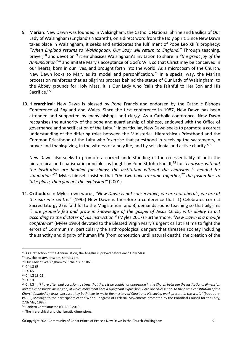- 9. **Marian**: New Dawn was founded in Walsingham, the Catholic National Shrine and Basilica of Our Lady of Walsingham (England's Nazareth), on a direct word from the Holy Spirit. Since New Dawn takes place in Walsingham, it seeks and anticipates the fulfilment of Pope Leo XIII's prophecy: *"When England returns to Walsingham, Our Lady will return to England."* Through teaching, prayer,<sup>68</sup> and devotion<sup>69</sup> it emphasises Walsingham's invitation to share in "the great joy of the *Annunciation"70* and imitate Mary's acceptance of God's Will, so that Christ may be conceived in our hearts, born in our lives, and brought forth into the world. As a microcosm of the Church, New Dawn looks to Mary as its model and personification.<sup>71</sup> In a special way, the Marian procession reinforces that as pilgrims process behind the statue of Our Lady of Walsingham, to the Abbey grounds for Holy Mass, it is Our Lady who 'calls the faithful to Her Son and His Sacrifice.'72
- 10. **Hierarchical**: New Dawn is blessed by Pope Francis and endorsed by the Catholic Bishops Conference of England and Wales. Since the first conference in 1987, New Dawn has been attended and supported by many bishops and clergy. As a Catholic conference, New Dawn recognises the authority of the pope and guardianship of bishops, endowed with the Office of governance and sanctification of the Laity.<sup>73</sup> In particular, New Dawn seeks to promote a correct understanding of the differing roles between the Ministerial (Hierarchical) Priesthood and the Common Priesthood of the Laity who 'exercise that priesthood in receiving the sacraments, in prayer and thanksgiving, in the witness of a holy life, and by self-denial and active charity.<sup>74</sup>

New Dawn also seeks to promote a correct understanding of the co-essentiality of both the hierarchical and charismatic principles as taught by Pope St John Paul II; <sup>75</sup> for *"charisms without the institution are headed for chaos; the institution without the charisms is headed for stagnation."*<sup>76</sup> Myles himself insisted that *"the two have to come together,77 the fusion has to take place, then you get the explosion!"* (2001)

11. **Orthodox**: In Myles' own words, *"New Dawn is not conservative, we are not liberals, we are at the extreme centre."* (1995) New Dawn is therefore a conference that: 1) Celebrates correct Sacred Liturgy 2) is faithful to the Magisterium and 3) demands sound teaching so that pilgrims *"…are properly fed and grow in knowledge of the gospel of Jesus Christ, with ability to act according to the dictates of His instruction."* (Myles 2017) Furthermore, *"New Dawn is a pro-life conference"* (Myles 1996) devoted to the Blessed Virgin Mary's urgent call at Fatima to fight the errors of Communism, particularly the anthropological dangers that threaten society including the sanctity and dignity of human life (from conception until natural death), the creation of the

<sup>68</sup> As a reflection of the Annunciation, the Angelus is prayed before each Holy Mass.

<sup>&</sup>lt;sup>69</sup> I.e., the rosary, artwork, statues etc.

<sup>70</sup> Our Lady of Walsingham to Richeldis in 1061.

<sup>71</sup> Cf. LG 65.

<sup>72</sup> LG 65.<br>73 Cf. LG 18-21.

<sup>74</sup> LG 10.

<sup>75</sup> Cf. LG 4; *"I have often had occasion to stress that there is no conflict or opposition in the Church between the institutional dimension and the charismatic dimension, of which movements are a significant expression. Both are co-essential to the divine constitution of the Church founded by Jesus, because they both help to make the mystery of Christ and His saving work present in the world"* (Pope John Paul II, Message to the participants of the World Congress of Ecclesial Movements promoted by the Pontifical Council for the Laity, 27th May 1998).

<sup>76</sup> Raniero Cantalamessa (CHARIS 2019).

<sup>77</sup> The hierarchical and charismatic dimensions.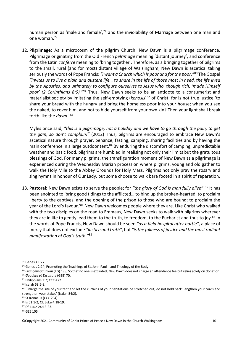human person as 'male and female',<sup>78</sup> and the inviolability of Marriage between one man and one woman.79

12. **Pilgrimage:** As a microcosm of the pilgrim Church, New Dawn is a pilgrimage conference. Pilgrimage originating from the Old French *pelrimage* meaning 'distant journey', and conference from the Latin *conferre* meaning to 'bring together'. Therefore, as a bringing together of pilgrims to the small, rural (and for most) distant village of Walsingham, New Dawn is ascetical taking seriously the words of Pope Francis: *"I want a Church which is poor and for the poor."*<sup>80</sup> The Gospel *"invites us to live a plain and austere life… to share in the life of those most in need, the life lived by the Apostles, and ultimately to configure ourselves to Jesus who, though rich, 'made Himself poor' (2 Corinthians 8:9)."81* Thus, New Dawn seeks to be an antidote to a consumerist and materialist society by imitating the self-emptying (*kenosis*) <sup>82</sup> of Christ; for is not true justice 'to share your bread with the hungry and bring the homeless poor into your house; when you see the naked, to cover him, and not to hide yourself from your own kin? Then your light shall break forth like the *dawn*.'83

Myles once said, *"this is a pilgrimage, not a holiday and we have to go through the pain, to get the gain, so don't complain!"* (2012) Thus, pilgrims are encouraged to embrace New Dawn's ascetical nature through prayer, penance, fasting, camping, sharing facilities and by having the main conference in a large outdoor tent.<sup>84</sup> By enduring the discomfort of camping, unpredictable weather and basic food, pilgrims are humbled in realising not only their limits but the gratuitous blessings of God. For many pilgrims, the transfiguration moment of New Dawn as a pilgrimage is experienced during the Wednesday Marian procession where pilgrims, young and old gather to walk the Holy Mile to the Abbey Grounds for Holy Mass. Pilgrims not only pray the rosary and sing hymns in honour of Our Lady, but some choose to walk bare footed in a spirit of reparation.

13. **Pastoral:** New Dawn exists to serve the people; for *"the glory of God is man fully alive"*! <sup>85</sup> It has been anointed to 'bring good tidings to the afflicted… to bind up the broken-hearted, to proclaim liberty to the captives, and the opening of the prison to those who are bound; to proclaim the year of the Lord's favour.'86 New Dawn welcomes people where they are. Like Christ who walked with the two disciples on the road to Emmaus, New Dawn seeks to walk with pilgrims wherever they are in life to gently lead them to the truth, to freedom, to the Eucharist and thus to joy.<sup>87</sup> In the words of Pope Francis, New Dawn should be seen *"as a field hospital after battle"*, a place of mercy that does not exclude *"justice and truth"*, but *"is the fullness of justice and the most radiant manifestation of God's truth."*<sup>88</sup>

<sup>78</sup> Genesis 1:27.

<sup>79</sup> Genesis 2:24; Promoting the Teachings of St. John Paul II and Theology of the Body.

<sup>80</sup> *Evangelii Gaudium* (EG) 198; So that no one is excluded, New Dawn does not charge an attendance fee but relies solely on donation.

<sup>81</sup> *Gaudete et Exsultate* (GEE) 70.

<sup>82</sup> Philippians 2:7; CCC 472<br>83 Isaiah 58:6-8.

<sup>84 &#</sup>x27;Enlarge the site of your tent and let the curtains of your habitations be stretched out; do not hold back; lengthen your cords and strengthen your stakes' (Isaiah 54:2).

<sup>85</sup> St Irenaeus (CCC 294).

<sup>86</sup> Is 61:1-2; Cf. Luke 4:18-19.

<sup>87</sup> Cf. Luke 24:13-33.

<sup>88</sup> GEE 105.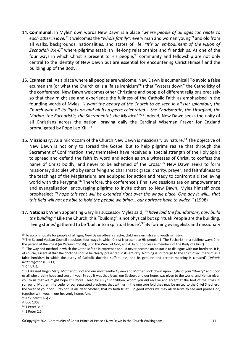- 14. **Communal:** In Myles' own words New Dawn is a place *"where people of all ages can relate to*  each other in love." It welcomes the "whole family": every man and woman young<sup>89</sup> and old from all walks, backgrounds, nationalities, and states of life. *"It's an embodiment of the vision of Zechariah 8:4-6"* where pilgrims establish life-long relationships and friendships. As one of the four ways in which Christ is present to His people,<sup>90</sup> community and fellowship are not only central to the identity of New Dawn but are essential for encountering Christ Himself and the building up of the Body.
- 15. **Ecumenical**: As a place where all peoples are welcome, New Dawn is ecumenical! To avoid a false ecumenism (or what the Church calls a 'false irenicism'<sup>91</sup>) that "waters down" the Catholicity of the conference, New Dawn welcomes other Christians and people of different religions precisely so that they might see and experience the fullness of the Catholic Faith as emphasised in the founding words of Myles: *"I want the beauty of the Church to be seen in all Her splendour; the Church with all its lights on and all its aspects celebrated – the Charismatic, the Liturgical, the Marian, the Eucharistic, the Sacramental, the Mystical."*<sup>92</sup> Indeed, New Dawn seeks the unity of all Christians across the nation, praying daily the Cardinal Wiseman Prayer for England promulgated by Pope Leo XIII.<sup>93</sup>
- 16. Missionary: As a microcosm of the Church New Dawn is missionary by nature.<sup>94</sup> The objective of New Dawn is not only to spread the Gospel but to help pilgrims realise that through the Sacrament of Confirmation, they themselves have received a 'special strength of the Holy Spirit to spread and defend the faith by word and action as true witnesses of Christ, to confess the name of Christ boldly, and never to be ashamed of the Cross.<sup>195</sup> New Dawn seeks to form missionary disciples who by sanctifying and charismatic grace, charity, prayer, and faithfulness to the teachings of the Magisterium, are equipped for action and ready to confront a disbelieving world with the kerygma.<sup>96</sup> Therefore, the conference's final two sessions are on empowerment and evangelisation, encouraging pilgrims to invite others to New Dawn. Myles himself once prophesied: *"I hope this tent will be extended right over the whole place. One day it will… that this field will not be able to hold the people we bring… our horizons have to widen."* (1998)
- 17. **National:** When appointing Gary his successor Myles said, *"I have laid the foundations, now build the building."* Like the Church, this "building" is not physical but spiritual! People are the building, 'living stones' gathered to be 'built into a spiritual house'. <sup>97</sup> By forming evangelists and missionary

<sup>89</sup> To accommodate for people of all ages, New Dawn offers a creche, children's ministry and youth ministry.

<sup>90</sup> The Second Vatican Council stipulates four ways in which Christ is present to His people: 1. The Eucharist (in a sublime way); 2. In the person of the Priest (In Persona Christi); 3. In the Word of God; and 4. In our bodies (as members of the Body of Christ).<br><sup>91</sup> 'The way and method in which the Catholic faith is expressed should never become an obstac

of course, essential that the doctrine should be clearly presented in its entirety. Nothing is so foreign to the spirit of ecumenism as a **false irenicism** in which the purity of Catholic doctrine suffers loss, and its genuine and certain meaning is clouded' (*Unitatis Redintegratio* (UR) 11).<br><sup>92</sup> Cf. UR 4.<br><sup>93</sup> 'O Blessed Virgin Mary, Mother of God and our most gentle Queen and Mother, look down upon England your "Dowry" and upon

us all who greatly hope and trust in you. By you it was that Jesus, our Saviour, and our hope, was given to the world; and He has given you to us that we might hope still more. Plead for us your children, whom you did receive and accept at the foot of the Cross, O sorrowful Mother. Intercede for our separated brethren, that with us in the one true fold they may be united to the Chief Shepherd, the Vicar of your Son. Pray for us all, dear Mother, that by faith fruitful in good works we may all deserve to see and praise God, together with you, in our heavenly home. Amen.'

<sup>94</sup> *Ad Gentes* (AG) 2.

<sup>95</sup> CCC 1303.

<sup>96</sup> 1 Peter 3:15.

<sup>97</sup> 1 Peter 2:5.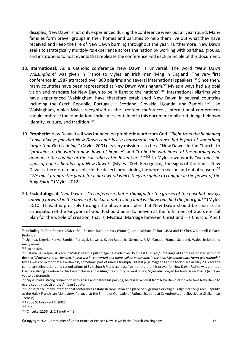disciples, New Dawn is not only experienced during the conference week but all year round. Many families form prayer groups in their homes and parishes to help them live out what they have received and keep the fire of New Dawn burning throughout the year. Furthermore, New Dawn seeks to strategically multiply its experience across the nation by working with parishes, groups, and institutions to host events that replicate the conference and each principle of this document.

- 18. **International**: As a Catholic conference New Dawn is universal. The word *"New Dawn Walsingham"* was given in France to Myles, an Irish man living in England! The very first conference in 1987 attracted over 800 pilgrims and several international speakers.<sup>98</sup> Since then, many countries have been represented at New Dawn Walsingham.<sup>99</sup> Myles always had a global vision and mandate for New Dawn to be 'a light to the nations'.<sup>100</sup> International pilgrims who have experienced Walsingham have therefore established New Dawn in several countries including the Czech Republic, Portugal,<sup>101</sup> Scotland, Slovakia, Uganda, and Zambia.<sup>102</sup> Like Walsingham, which Myles recognised as the *"mother conference"*, international conferences should embrace the foundational principles contained in this document whilst retaining their own identity, culture, and tradition. $103$
- 19. **Prophetic**: New Dawn itself was founded on prophetic word from God. *"Right from the beginning I have always felt that New Dawn is not just a charismatic conference but is part of something larger that God is doing."* (Myles 2001) Its very mission is to be a "New Dawn" in the Church, to *"proclaim to the world a new dawn of hope"*<sup>104</sup> and *"to be the watchmen of the morning who announce the coming of the sun who is the Risen Christ!"*<sup>105</sup> In Myles own words *"we must be signs of hope… heralds of a New Dawn!"* (Myles 2004) Recognising the signs of the times, New Dawn is therefore to be a voice in the desert, proclaiming the word in season and out of season.<sup>106</sup> *"We must prepare the youth for a dark world which they are going to conquer in the power of the Holy Spirit."* (Myles 2012)
- 20. **Eschatological**: New Dawn is *"a conference that is thankful for the graces of the past but always moving forward in the power of the Spirit not resting until we have reached the final goal."* (Myles 2010) Thus, it is precisely through the above principles that New Dawn should be seen as an anticipation of the Kingdom of God. It should point to heaven as the fulfillment of God's eternal plan for the whole of creation, that is, Mystical Marriage between Christ and His Church: 'And I

<sup>100</sup> Isaiah 42:6.

<sup>98</sup> Including Fr Tom Forrest CSSR (USA), Fr Jean Rudolph Kars (France), John Michael Talbot (USA) and Fr Chris O'Donnell O'Carm (Ireland).

<sup>99</sup> Uganda, Nigeria, Kenya, Zambia, Portugal, Slovakia, Czech Republic, Germany, USA, Canada, France, Scotland, Wales, Ireland and many more.

<sup>101</sup> Fatima had a special place in Myles' heart, a pilgrimage he made over 35 times! Our Lady's message at Fatima resonated with him deeply: *"If my desires are heeded, Russia will be converted and there will be peace and, in the end, My Immaculate Heart will triumph."* Myles was convicted that New Dawn is, somehow, part of Mary's triumph. His last pilgrimage to Fatima took place in May 2017 for the centenary celebrations and canonisations of Ss Jacinta & Francisco. Just five months later his prayer for New Dawn Fatima was granted. Having a strong devotion to Our Lady of Kazan and visiting the country several times, Myles also prayed for New Dawn Russia (a prayer yet to be granted).

<sup>102</sup> Myles had a strong connection with Africa and before his passing, he tasked a priest from New Dawn Zambia to take New Dawn to every country south of the African Equator.

<sup>103</sup> For instance, many international conferences establish New Dawn at a place of pilgrimage or religious significance (Czech Republic at the Hajek Franciscan Monastery, Portugal at the Shrine of Our Lady of Fatima, Scotland at St Andrews, and Slovakia at Skalka near Trenčín).

<sup>104</sup> Pope St John Paul II, 2002.

<sup>105</sup> Ibid

<sup>106</sup> Cf. Luke 12:56; cf. 2 Timothy 4:2.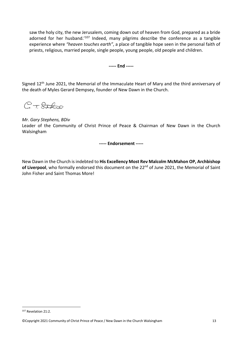saw the holy city, the new Jerusalem, coming down out of heaven from God, prepared as a bride adorned for her husband.<sup>'107</sup> Indeed, many pilgrims describe the conference as a tangible experience where *"heaven touches earth"*, a place of tangible hope seen in the personal faith of priests, religious, married people, single people, young people, old people and children.

**----- End -----**

Signed 12th June 2021, the Memorial of the Immaculate Heart of Mary and the third anniversary of the death of Myles Gerard Dempsey, founder of New Dawn in the Church.

 $C + R$ 

#### *Mr. Gary Stephens, BDiv*

Leader of the Community of Christ Prince of Peace & Chairman of New Dawn in the Church Walsingham

**----- Endorsement -----**

New Dawn in the Church is indebted to **His Excellency Most Rev Malcolm McMahon OP, Archbishop**  of Liverpool, who formally endorsed this document on the 22<sup>nd</sup> of June 2021, the Memorial of Saint John Fisher and Saint Thomas More!

<sup>107</sup> Revelation 21:2.

<sup>©</sup>Copyright 2021 Community of Christ Prince of Peace / New Dawn in the Church Walsingham 13